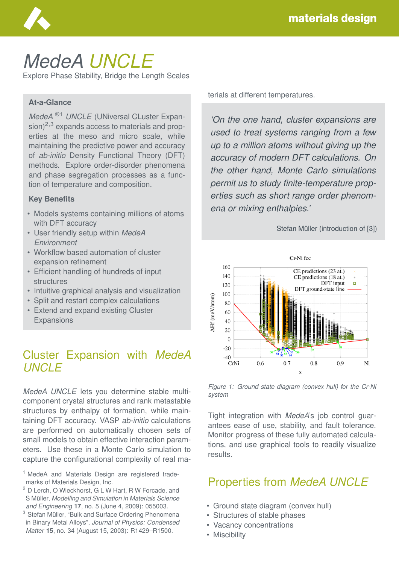

# *MedeA UNCLE* Explore Phase Stability, Bridge the Length Scales

#### **At-a-Glance**

*MedeA* ®1 *UNCLE* (UNiversal CLuster Expan $sion)^{2,3}$  expands access to materials and properties at the meso and micro scale, while maintaining the predictive power and accuracy of *ab-initio* Density Functional Theory (DFT) methods. Explore order-disorder phenomena and phase segregation processes as a function of temperature and composition.

#### **Key Benefits**

- Models systems containing millions of atoms with DFT accuracy
- User friendly setup within *MedeA Environment*
- Workflow based automation of cluster expansion refinement
- Efficient handling of hundreds of input structures
- Intuitive graphical analysis and visualization
- Split and restart complex calculations
- Extend and expand existing Cluster **Expansions**

## Cluster Expansion with *MedeA UNCLE*

*MedeA UNCLE* lets you determine stable multicomponent crystal structures and rank metastable structures by enthalpy of formation, while maintaining DFT accuracy. VASP *ab-initio* calculations are performed on automatically chosen sets of small models to obtain effective interaction parameters. Use these in a Monte Carlo simulation to capture the configurational complexity of real materials at different temperatures.

*'On the one hand, cluster expansions are used to treat systems ranging from a few up to a million atoms without giving up the accuracy of modern DFT calculations. On the other hand, Monte Carlo simulations permit us to study finite-temperature properties such as short range order phenomena or mixing enthalpies.'*

Stefan Müller (introduction of [3])



*Figure 1: Ground state diagram (convex hull) for the Cr-Ni system*

Tight integration with *MedeA*'s job control guarantees ease of use, stability, and fault tolerance. Monitor progress of these fully automated calculations, and use graphical tools to readily visualize results.

# Properties from *MedeA UNCLE*

- Ground state diagram (convex hull)
- Structures of stable phases
- Vacancy concentrations
- Miscibility

<sup>&</sup>lt;sup>1</sup> MedeA and Materials Design are registered trademarks of Materials Design, Inc.

<sup>2</sup> D Lerch, O Wieckhorst, G L W Hart, R W Forcade, and S Müller, Modelling and Simulation in Materials Science *and Engineering* **17**, no. 5 (June 4, 2009): 055003.

<sup>&</sup>lt;sup>3</sup> Stefan Müller, "Bulk and Surface Ordering Phenomena in Binary Metal Alloys", *Journal of Physics: Condensed Matter* **15**, no. 34 (August 15, 2003): R1429–R1500.